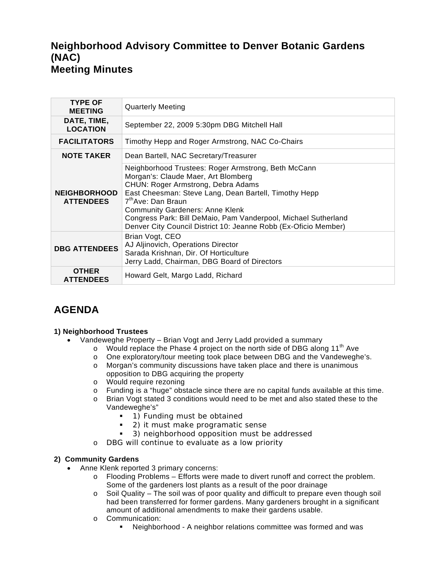## **Neighborhood Advisory Committee to Denver Botanic Gardens (NAC) Meeting Minutes**

| <b>TYPE OF</b><br><b>MEETING</b>        | <b>Quarterly Meeting</b>                                                                                                                                                                                                                                                                                                                                                                                   |
|-----------------------------------------|------------------------------------------------------------------------------------------------------------------------------------------------------------------------------------------------------------------------------------------------------------------------------------------------------------------------------------------------------------------------------------------------------------|
| DATE, TIME,<br><b>LOCATION</b>          | September 22, 2009 5:30pm DBG Mitchell Hall                                                                                                                                                                                                                                                                                                                                                                |
| <b>FACILITATORS</b>                     | Timothy Hepp and Roger Armstrong, NAC Co-Chairs                                                                                                                                                                                                                                                                                                                                                            |
| <b>NOTE TAKER</b>                       | Dean Bartell, NAC Secretary/Treasurer                                                                                                                                                                                                                                                                                                                                                                      |
| <b>NEIGHBORHOOD</b><br><b>ATTENDEES</b> | Neighborhood Trustees: Roger Armstrong, Beth McCann<br>Morgan's: Claude Maer, Art Blomberg<br>CHUN: Roger Armstrong, Debra Adams<br>East Cheesman: Steve Lang, Dean Bartell, Timothy Hepp<br>7 <sup>th</sup> Ave: Dan Braun<br><b>Community Gardeners: Anne Klenk</b><br>Congress Park: Bill DeMaio, Pam Vanderpool, Michael Sutherland<br>Denver City Council District 10: Jeanne Robb (Ex-Oficio Member) |
| <b>DBG ATTENDEES</b>                    | Brian Vogt, CEO<br>AJ Aljinovich, Operations Director<br>Sarada Krishnan, Dir. Of Horticulture<br>Jerry Ladd, Chairman, DBG Board of Directors                                                                                                                                                                                                                                                             |
| <b>OTHER</b><br><b>ATTENDEES</b>        | Howard Gelt, Margo Ladd, Richard                                                                                                                                                                                                                                                                                                                                                                           |

# **AGENDA**

### **1) Neighborhood Trustees**

- Vandeweghe Property Brian Vogt and Jerry Ladd provided a summary
	- o Would replace the Phase 4 project on the north side of DBG along 11<sup>th</sup> Ave  $\circ$  One exploratory/tour meeting took place between DBG and the Vandewegh
	- o One exploratory/tour meeting took place between DBG and the Vandeweghe's.<br>
	o Morgan's community discussions have taken place and there is unanimous
	- Morgan's community discussions have taken place and there is unanimous opposition to DBG acquiring the property
	- o Would require rezoning
	- o Funding is a "huge" obstacle since there are no capital funds available at this time.
	- o Brian Vogt stated 3 conditions would need to be met and also stated these to the Vandeweghe's"
		- **1) Funding must be obtained**
		- 2) it must make programatic sense
		- 3) neighborhood opposition must be addressed
	- o DBG will continue to evaluate as a low priority

#### **2) Community Gardens**

- Anne Klenk reported 3 primary concerns:
	- o Flooding Problems Efforts were made to divert runoff and correct the problem. Some of the gardeners lost plants as a result of the poor drainage
	- o Soil Quality The soil was of poor quality and difficult to prepare even though soil had been transferred for former gardens. Many gardeners brought in a significant amount of additional amendments to make their gardens usable.
	- o Communication:
		- Neighborhood A neighbor relations committee was formed and was